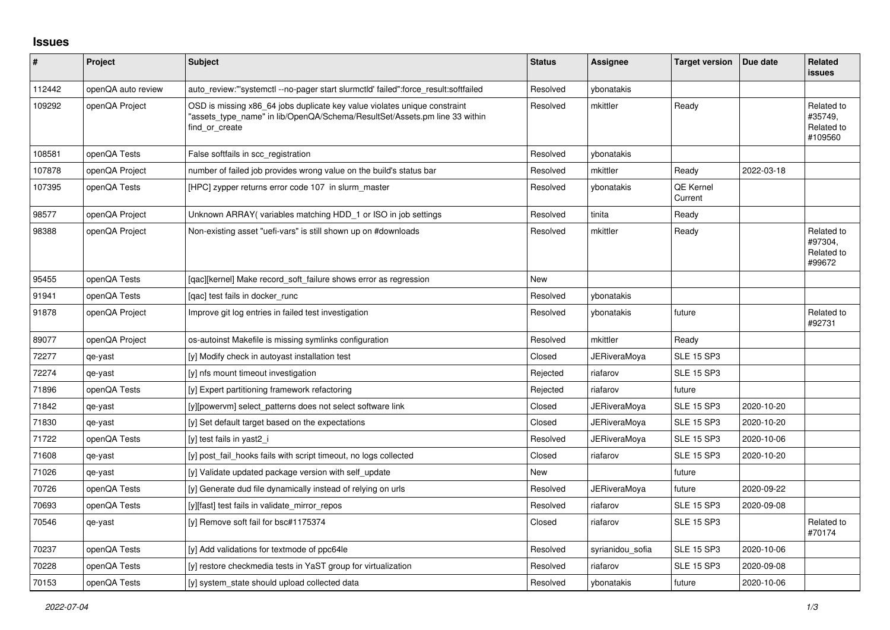## **Issues**

| #      | Project            | <b>Subject</b>                                                                                                                                                            | <b>Status</b> | Assignee            | <b>Target version</b>       | Due date   | <b>Related</b><br><b>issues</b>                |
|--------|--------------------|---------------------------------------------------------------------------------------------------------------------------------------------------------------------------|---------------|---------------------|-----------------------------|------------|------------------------------------------------|
| 112442 | openQA auto review | auto_review:"'systemctl --no-pager start slurmctld' failed":force_result:softfailed                                                                                       | Resolved      | ybonatakis          |                             |            |                                                |
| 109292 | openQA Project     | OSD is missing x86 64 jobs duplicate key value violates unique constraint<br>'assets type name" in lib/OpenQA/Schema/ResultSet/Assets.pm line 33 within<br>find or create | Resolved      | mkittler            | Ready                       |            | Related to<br>#35749,<br>Related to<br>#109560 |
| 108581 | openQA Tests       | False softfails in scc_registration                                                                                                                                       | Resolved      | ybonatakis          |                             |            |                                                |
| 107878 | openQA Project     | number of failed job provides wrong value on the build's status bar                                                                                                       | Resolved      | mkittler            | Ready                       | 2022-03-18 |                                                |
| 107395 | openQA Tests       | [HPC] zypper returns error code 107 in slurm master                                                                                                                       | Resolved      | ybonatakis          | <b>QE Kernel</b><br>Current |            |                                                |
| 98577  | openQA Project     | Unknown ARRAY (variables matching HDD 1 or ISO in job settings                                                                                                            | Resolved      | tinita              | Ready                       |            |                                                |
| 98388  | openQA Project     | Non-existing asset "uefi-vars" is still shown up on #downloads                                                                                                            | Resolved      | mkittler            | Ready                       |            | Related to<br>#97304,<br>Related to<br>#99672  |
| 95455  | openQA Tests       | [gac][kernel] Make record soft failure shows error as regression                                                                                                          | <b>New</b>    |                     |                             |            |                                                |
| 91941  | openQA Tests       | [qac] test fails in docker_runc                                                                                                                                           | Resolved      | ybonatakis          |                             |            |                                                |
| 91878  | openQA Project     | Improve git log entries in failed test investigation                                                                                                                      | Resolved      | ybonatakis          | future                      |            | Related to<br>#92731                           |
| 89077  | openQA Project     | os-autoinst Makefile is missing symlinks configuration                                                                                                                    | Resolved      | mkittler            | Ready                       |            |                                                |
| 72277  | qe-yast            | [y] Modify check in autoyast installation test                                                                                                                            | Closed        | <b>JERiveraMoya</b> | <b>SLE 15 SP3</b>           |            |                                                |
| 72274  | qe-yast            | [y] nfs mount timeout investigation                                                                                                                                       | Rejected      | riafarov            | <b>SLE 15 SP3</b>           |            |                                                |
| 71896  | openQA Tests       | [y] Expert partitioning framework refactoring                                                                                                                             | Rejected      | riafarov            | future                      |            |                                                |
| 71842  | qe-yast            | [y][powervm] select patterns does not select software link                                                                                                                | Closed        | <b>JERiveraMoya</b> | <b>SLE 15 SP3</b>           | 2020-10-20 |                                                |
| 71830  | qe-yast            | [y] Set default target based on the expectations                                                                                                                          | Closed        | <b>JERiveraMoya</b> | <b>SLE 15 SP3</b>           | 2020-10-20 |                                                |
| 71722  | openQA Tests       | [y] test fails in yast2 i                                                                                                                                                 | Resolved      | JERiveraMoya        | <b>SLE 15 SP3</b>           | 2020-10-06 |                                                |
| 71608  | qe-yast            | [y] post fail hooks fails with script timeout, no logs collected                                                                                                          | Closed        | riafarov            | <b>SLE 15 SP3</b>           | 2020-10-20 |                                                |
| 71026  | qe-yast            | [y] Validate updated package version with self_update                                                                                                                     | New           |                     | future                      |            |                                                |
| 70726  | openQA Tests       | [y] Generate dud file dynamically instead of relying on urls                                                                                                              | Resolved      | JERiveraMoya        | future                      | 2020-09-22 |                                                |
| 70693  | openQA Tests       | [y][fast] test fails in validate mirror repos                                                                                                                             | Resolved      | riafarov            | <b>SLE 15 SP3</b>           | 2020-09-08 |                                                |
| 70546  | qe-yast            | [y] Remove soft fail for bsc#1175374                                                                                                                                      | Closed        | riafarov            | <b>SLE 15 SP3</b>           |            | Related to<br>#70174                           |
| 70237  | openQA Tests       | [y] Add validations for textmode of ppc64le                                                                                                                               | Resolved      | syrianidou_sofia    | <b>SLE 15 SP3</b>           | 2020-10-06 |                                                |
| 70228  | openQA Tests       | [y] restore checkmedia tests in YaST group for virtualization                                                                                                             | Resolved      | riafarov            | <b>SLE 15 SP3</b>           | 2020-09-08 |                                                |
| 70153  | openQA Tests       | [y] system_state should upload collected data                                                                                                                             | Resolved      | ybonatakis          | future                      | 2020-10-06 |                                                |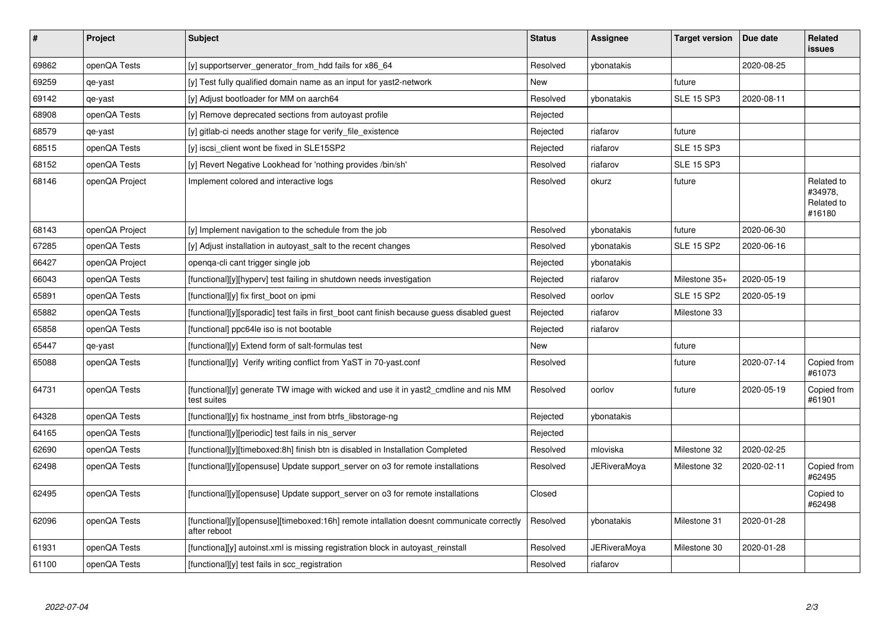| $\vert$ # | Project        | Subject                                                                                                  | <b>Status</b> | <b>Assignee</b> | <b>Target version</b> | Due date   | Related<br><b>issues</b>                      |
|-----------|----------------|----------------------------------------------------------------------------------------------------------|---------------|-----------------|-----------------------|------------|-----------------------------------------------|
| 69862     | openQA Tests   | [y] supportserver_generator_from_hdd fails for x86_64                                                    | Resolved      | ybonatakis      |                       | 2020-08-25 |                                               |
| 69259     | qe-yast        | [y] Test fully qualified domain name as an input for yast2-network                                       | <b>New</b>    |                 | future                |            |                                               |
| 69142     | qe-yast        | [y] Adjust bootloader for MM on aarch64                                                                  | Resolved      | vbonatakis      | <b>SLE 15 SP3</b>     | 2020-08-11 |                                               |
| 68908     | openQA Tests   | [y] Remove deprecated sections from autoyast profile                                                     | Rejected      |                 |                       |            |                                               |
| 68579     | qe-yast        | [y] gitlab-ci needs another stage for verify_file_existence                                              | Rejected      | riafarov        | future                |            |                                               |
| 68515     | openQA Tests   | [y] iscsi_client wont be fixed in SLE15SP2                                                               | Rejected      | riafarov        | <b>SLE 15 SP3</b>     |            |                                               |
| 68152     | openQA Tests   | [y] Revert Negative Lookhead for 'nothing provides /bin/sh'                                              | Resolved      | riafarov        | <b>SLE 15 SP3</b>     |            |                                               |
| 68146     | openQA Project | Implement colored and interactive logs                                                                   | Resolved      | okurz           | future                |            | Related to<br>#34978,<br>Related to<br>#16180 |
| 68143     | openQA Project | [y] Implement navigation to the schedule from the job                                                    | Resolved      | ybonatakis      | future                | 2020-06-30 |                                               |
| 67285     | openQA Tests   | [y] Adjust installation in autoyast_salt to the recent changes                                           | Resolved      | ybonatakis      | <b>SLE 15 SP2</b>     | 2020-06-16 |                                               |
| 66427     | openQA Project | openga-cli cant trigger single job                                                                       | Rejected      | ybonatakis      |                       |            |                                               |
| 66043     | openQA Tests   | [functional][y][hyperv] test failing in shutdown needs investigation                                     | Rejected      | riafarov        | Milestone 35+         | 2020-05-19 |                                               |
| 65891     | openQA Tests   | [functional][y] fix first boot on ipmi                                                                   | Resolved      | oorlov          | <b>SLE 15 SP2</b>     | 2020-05-19 |                                               |
| 65882     | openQA Tests   | [functional][y][sporadic] test fails in first boot cant finish because guess disabled guest              | Rejected      | riafarov        | Milestone 33          |            |                                               |
| 65858     | openQA Tests   | [functional] ppc64le iso is not bootable                                                                 | Rejected      | riafarov        |                       |            |                                               |
| 65447     | qe-yast        | [functional][y] Extend form of salt-formulas test                                                        | New           |                 | future                |            |                                               |
| 65088     | openQA Tests   | [functional][y] Verify writing conflict from YaST in 70-yast.conf                                        | Resolved      |                 | future                | 2020-07-14 | Copied from<br>#61073                         |
| 64731     | openQA Tests   | [functional][y] generate TW image with wicked and use it in yast2 cmdline and nis MM<br>test suites      | Resolved      | oorlov          | future                | 2020-05-19 | Copied from<br>#61901                         |
| 64328     | openQA Tests   | [functional][y] fix hostname_inst from btrfs_libstorage-ng                                               | Rejected      | ybonatakis      |                       |            |                                               |
| 64165     | openQA Tests   | [functional][y][periodic] test fails in nis server                                                       | Rejected      |                 |                       |            |                                               |
| 62690     | openQA Tests   | [functional][y][timeboxed:8h] finish btn is disabled in Installation Completed                           | Resolved      | mloviska        | Milestone 32          | 2020-02-25 |                                               |
| 62498     | openQA Tests   | [functional][y][opensuse] Update support server on o3 for remote installations                           | Resolved      | JERiveraMoya    | Milestone 32          | 2020-02-11 | Copied from<br>#62495                         |
| 62495     | openQA Tests   | [functional][y][opensuse] Update support_server on o3 for remote installations                           | Closed        |                 |                       |            | Copied to<br>#62498                           |
| 62096     | openQA Tests   | [functional][y][opensuse][timeboxed:16h] remote intallation doesnt communicate correctly<br>after reboot | Resolved      | ybonatakis      | Milestone 31          | 2020-01-28 |                                               |
| 61931     | openQA Tests   | [functiona][y] autoinst.xml is missing registration block in autoyast reinstall                          | Resolved      | JERiveraMoya    | Milestone 30          | 2020-01-28 |                                               |
| 61100     | openQA Tests   | [functional][y] test fails in scc_registration                                                           | Resolved      | riafarov        |                       |            |                                               |